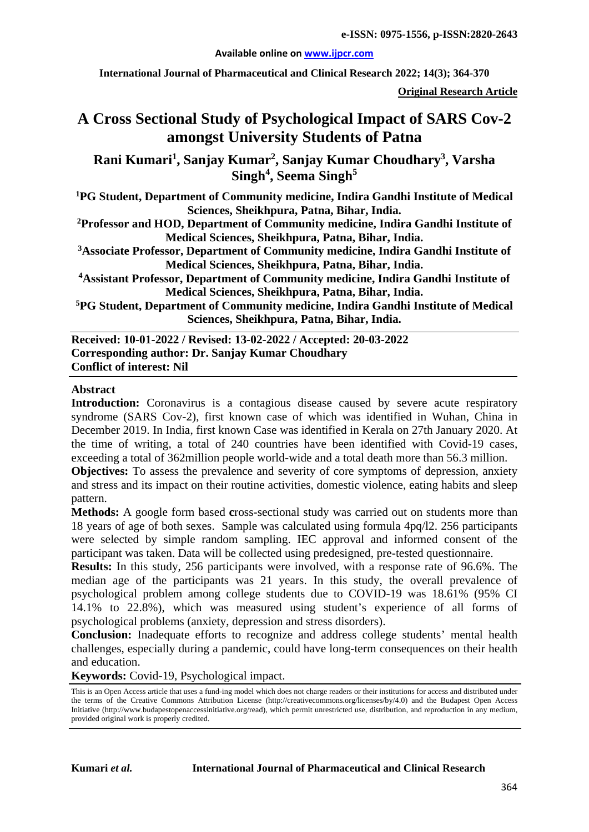#### **Available online on [www.ijpcr.com](http://www.ijpcr.com/)**

**International Journal of Pharmaceutical and Clinical Research 2022; 14(3); 364-370**

**Original Research Article**

# **A Cross Sectional Study of Psychological Impact of SARS Cov-2 amongst University Students of Patna**

**Rani Kumari<sup>1</sup> , Sanjay Kumar2 , Sanjay Kumar Choudhary<sup>3</sup> , Varsha Singh4 , Seema Singh<sup>5</sup>**

**1 PG Student, Department of Community medicine, Indira Gandhi Institute of Medical Sciences, Sheikhpura, Patna, Bihar, India.**

**2 Professor and HOD, Department of Community medicine, Indira Gandhi Institute of Medical Sciences, Sheikhpura, Patna, Bihar, India.**

**3 Associate Professor, Department of Community medicine, Indira Gandhi Institute of Medical Sciences, Sheikhpura, Patna, Bihar, India.**

**4 Assistant Professor, Department of Community medicine, Indira Gandhi Institute of Medical Sciences, Sheikhpura, Patna, Bihar, India.**

**5 PG Student, Department of Community medicine, Indira Gandhi Institute of Medical Sciences, Sheikhpura, Patna, Bihar, India.**

**Received: 10-01-2022 / Revised: 13-02-2022 / Accepted: 20-03-2022 Corresponding author: Dr. Sanjay Kumar Choudhary Conflict of interest: Nil**

#### **Abstract**

**Introduction:** Coronavirus is a contagious disease caused by severe acute respiratory syndrome (SARS Cov-2), first known case of which was identified in Wuhan, China in December 2019. In India, first known Case was identified in Kerala on 27th January 2020. At the time of writing, a total of 240 countries have been identified with Covid-19 cases, exceeding a total of 362million people world-wide and a total death more than 56.3 million.

**Objectives:** To assess the prevalence and severity of core symptoms of depression, anxiety and stress and its impact on their routine activities, domestic violence, eating habits and sleep pattern.

**Methods:** A google form based **c**ross-sectional study was carried out on students more than 18 years of age of both sexes. Sample was calculated using formula 4pq/l2. 256 participants were selected by simple random sampling. IEC approval and informed consent of the participant was taken. Data will be collected using predesigned, pre-tested questionnaire.

**Results:** In this study, 256 participants were involved, with a response rate of 96.6%. The median age of the participants was 21 years. In this study, the overall prevalence of psychological problem among college students due to COVID-19 was 18.61% (95% CI 14.1% to 22.8%), which was measured using student's experience of all forms of psychological problems (anxiety, depression and stress disorders).

**Conclusion:** Inadequate efforts to recognize and address college students' mental health challenges, especially during a pandemic, could have long-term consequences on their health and education.

**Keywords:** Covid-19, Psychological impact.

This is an Open Access article that uses a fund-ing model which does not charge readers or their institutions for access and distributed under the terms of the Creative Commons Attribution License (http://creativecommons.org/licenses/by/4.0) and the Budapest Open Access Initiative (http://www.budapestopenaccessinitiative.org/read), which permit unrestricted use, distribution, and reproduction in any medium, provided original work is properly credited.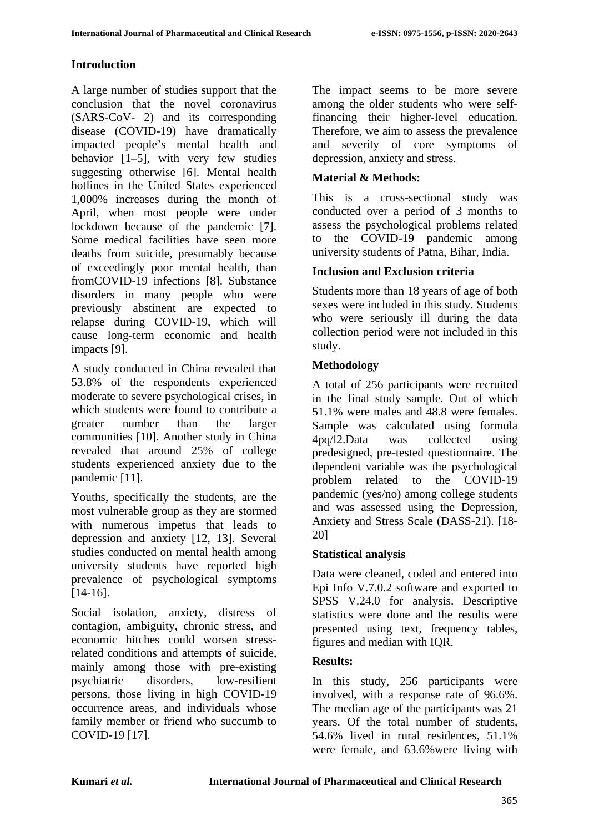# **Introduction**

A large number of studies support that the conclusion that the novel coronavirus (SARS-CoV- 2) and its corresponding disease (COVID-19) have dramatically impacted people's mental health and behavior [1–5], with very few studies suggesting otherwise [6]. Mental health hotlines in the United States experienced 1,000% increases during the month of April, when most people were under lockdown because of the pandemic [7]. Some medical facilities have seen more deaths from suicide, presumably because of exceedingly poor mental health, than fromCOVID-19 infections [8]. Substance disorders in many people who were previously abstinent are expected to relapse during COVID-19, which will cause long-term economic and health impacts [9].

A study conducted in China revealed that 53.8% of the respondents experienced moderate to severe psychological crises, in which students were found to contribute a greater number than the larger communities [10]. Another study in China revealed that around 25% of college students experienced anxiety due to the pandemic [11].

Youths, specifically the students, are the most vulnerable group as they are stormed with numerous impetus that leads to depression and anxiety [12, 13]. Several studies conducted on mental health among university students have reported high prevalence of psychological symptoms [14-16].

Social isolation, anxiety, distress of contagion, ambiguity, chronic stress, and economic hitches could worsen stressrelated conditions and attempts of suicide, mainly among those with pre-existing psychiatric disorders, low-resilient persons, those living in high COVID-19 occurrence areas, and individuals whose family member or friend who succumb to COVID-19 [17].

The impact seems to be more severe among the older students who were selffinancing their higher-level education. Therefore, we aim to assess the prevalence and severity of core symptoms of depression, anxiety and stress.

# **Material & Methods:**

This is a cross-sectional study was conducted over a period of 3 months to assess the psychological problems related to the COVID-19 pandemic among university students of Patna, Bihar, India.

# **Inclusion and Exclusion criteria**

Students more than 18 years of age of both sexes were included in this study. Students who were seriously ill during the data collection period were not included in this study.

### **Methodology**

A total of 256 participants were recruited in the final study sample. Out of which 51.1% were males and 48.8 were females. Sample was calculated using formula 4pq/l2.Data was collected using predesigned, pre-tested questionnaire. The dependent variable was the psychological problem related to the COVID-19 pandemic (yes/no) among college students and was assessed using the Depression, Anxiety and Stress Scale (DASS-21). [18- 20]

### **Statistical analysis**

Data were cleaned, coded and entered into Epi Info V.7.0.2 software and exported to SPSS V.24.0 for analysis. Descriptive statistics were done and the results were presented using text, frequency tables, figures and median with IQR.

### **Results:**

In this study, 256 participants were involved, with a response rate of 96.6%. The median age of the participants was 21 years. Of the total number of students, 54.6% lived in rural residences, 51.1% were female, and 63.6%were living with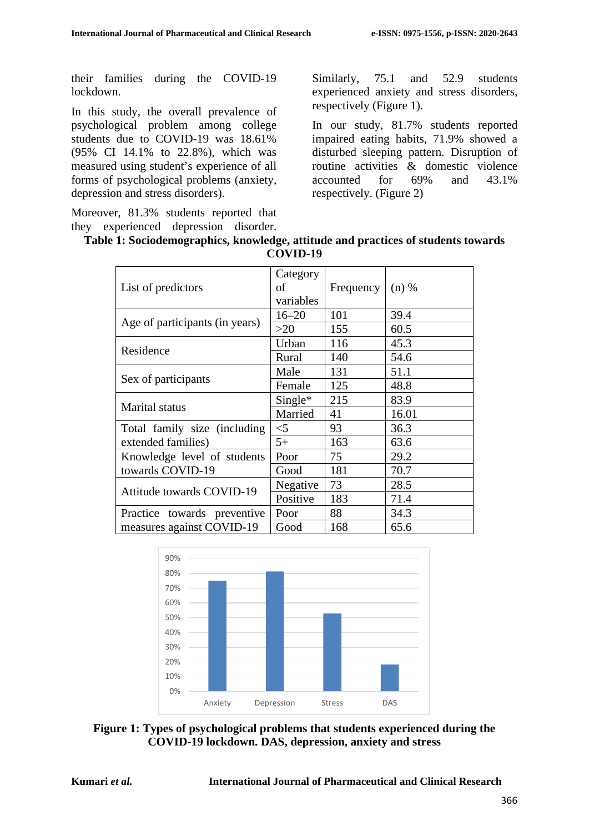their families during the COVID-19 lockdown.

In this study, the overall prevalence of psychological problem among college students due to COVID-19 was 18.61% (95% CI 14.1% to 22.8%), which was measured using student's experience of all forms of psychological problems (anxiety, depression and stress disorders).

Moreover, 81.3% students reported that they experienced depression disorder. Similarly, 75.1 and 52.9 students experienced anxiety and stress disorders, respectively (Figure 1).

In our study, 81.7% students reported impaired eating habits, 71.9% showed a disturbed sleeping pattern. Disruption of routine activities & domestic violence<br>accounted for 69% and 43.1% accounted for 69% and 43.1% respectively. (Figure 2)

|  |          | Table 1: Sociodemographics, knowledge, attitude and practices of students towards |
|--|----------|-----------------------------------------------------------------------------------|
|  |          |                                                                                   |
|  | COVID-19 |                                                                                   |

| List of predictors               | Category<br>of<br>variables | Frequency | $(n)$ % |
|----------------------------------|-----------------------------|-----------|---------|
|                                  | $16 - 20$                   | 101       | 39.4    |
| Age of participants (in years)   | >20                         | 155       | 60.5    |
| Residence                        | Urban                       | 116       | 45.3    |
|                                  | Rural                       | 140       | 54.6    |
|                                  | Male                        | 131       | 51.1    |
| Sex of participants              | Female                      | 125       | 48.8    |
|                                  | $Single*$                   | 215       | 83.9    |
| Marital status                   | Married                     | 41        | 16.01   |
| Total family size (including     | $<$ 5                       | 93        | 36.3    |
| extended families)               | $5+$                        | 163       | 63.6    |
| Knowledge level of students      | Poor                        | 75        | 29.2    |
| towards COVID-19                 | Good                        | 181       | 70.7    |
| <b>Attitude towards COVID-19</b> | Negative                    | 73        | 28.5    |
|                                  | Positive                    | 183       | 71.4    |
| Practice towards preventive      | Poor                        | 88        | 34.3    |
| measures against COVID-19        | Good                        | 168       | 65.6    |
|                                  |                             |           |         |



**Figure 1: Types of psychological problems that students experienced during the COVID-19 lockdown. DAS, depression, anxiety and stress**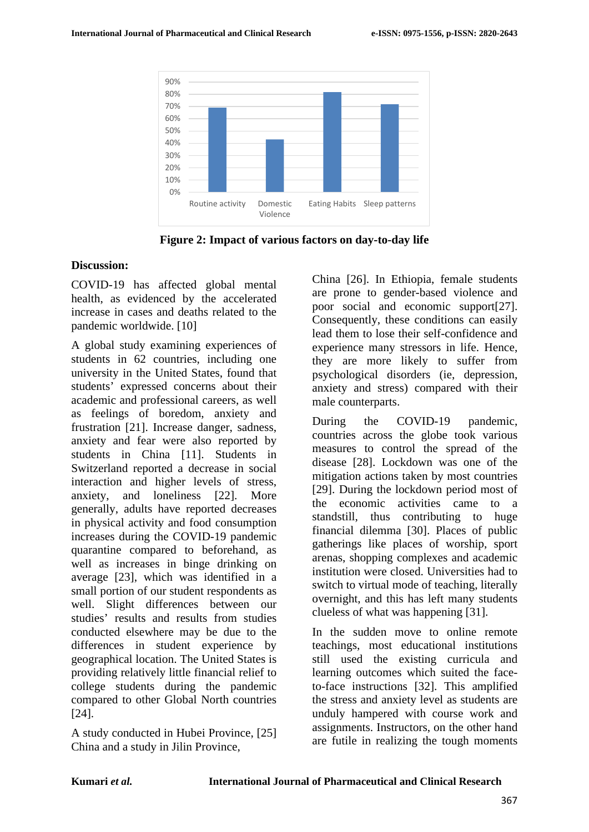

**Figure 2: Impact of various factors on day-to-day life**

#### **Discussion:**

COVID-19 has affected global mental health, as evidenced by the accelerated increase in cases and deaths related to the pandemic worldwide. [10]

A global study examining experiences of students in 62 countries, including one university in the United States, found that students' expressed concerns about their academic and professional careers, as well as feelings of boredom, anxiety and frustration [21]. Increase danger, sadness, anxiety and fear were also reported by students in China [11]. Students in Switzerland reported a decrease in social interaction and higher levels of stress, anxiety, and loneliness [22]. More generally, adults have reported decreases in physical activity and food consumption increases during the COVID-19 pandemic quarantine compared to beforehand, as well as increases in binge drinking on average [23], which was identified in a small portion of our student respondents as well. Slight differences between our studies' results and results from studies conducted elsewhere may be due to the differences in student experience by geographical location. The United States is providing relatively little financial relief to college students during the pandemic compared to other Global North countries [24].

A study conducted in Hubei Province, [25] China and a study in Jilin Province,

China [26]. In Ethiopia, female students are prone to gender-based violence and poor social and economic support[27]. Consequently, these conditions can easily lead them to lose their self-confidence and experience many stressors in life. Hence, they are more likely to suffer from psychological disorders (ie, depression, anxiety and stress) compared with their male counterparts.

During the COVID-19 pandemic, countries across the globe took various measures to control the spread of the disease [28]. Lockdown was one of the mitigation actions taken by most countries [29]. During the lockdown period most of the economic activities came to a standstill, thus contributing to huge financial dilemma [30]. Places of public gatherings like places of worship, sport arenas, shopping complexes and academic institution were closed. Universities had to switch to virtual mode of teaching, literally overnight, and this has left many students clueless of what was happening [31].

In the sudden move to online remote teachings, most educational institutions still used the existing curricula and learning outcomes which suited the faceto-face instructions [32]. This amplified the stress and anxiety level as students are unduly hampered with course work and assignments. Instructors, on the other hand are futile in realizing the tough moments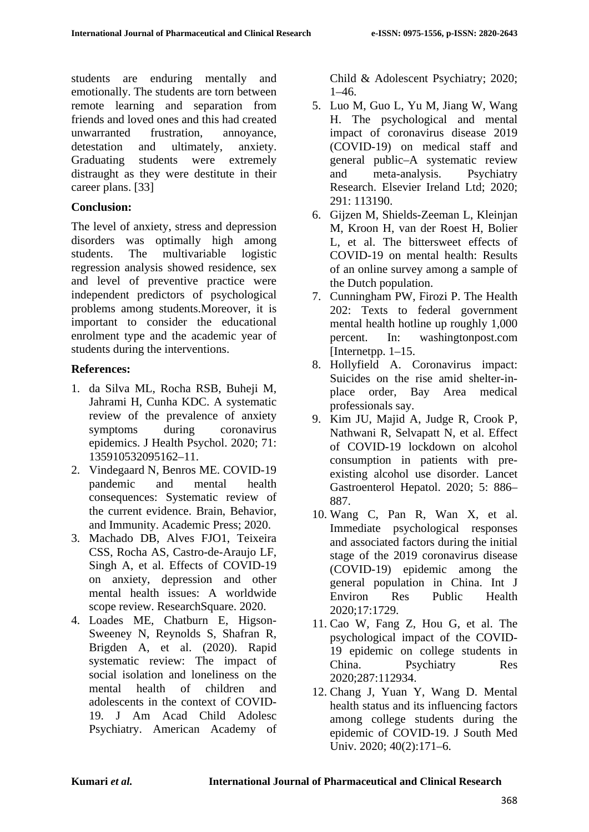students are enduring mentally and emotionally. The students are torn between remote learning and separation from friends and loved ones and this had created unwarranted frustration, annoyance, detestation and ultimately, anxiety. Graduating students were extremely distraught as they were destitute in their career plans. [33]

#### **Conclusion:**

The level of anxiety, stress and depression disorders was optimally high among students. The multivariable logistic regression analysis showed residence, sex and level of preventive practice were independent predictors of psychological problems among students.Moreover, it is important to consider the educational enrolment type and the academic year of students during the interventions.

### **References:**

- 1. da Silva ML, Rocha RSB, Buheji M, Jahrami H, Cunha KDC. A systematic review of the prevalence of anxiety symptoms during coronavirus epidemics. J Health Psychol. 2020; 71: 135910532095162–11.
- 2. Vindegaard N, Benros ME. COVID-19 pandemic and mental health consequences: Systematic review of the current evidence. Brain, Behavior, and Immunity. Academic Press; 2020.
- 3. Machado DB, Alves FJO1, Teixeira CSS, Rocha AS, Castro-de-Araujo LF, Singh A, et al. Effects of COVID-19 on anxiety, depression and other mental health issues: A worldwide scope review. ResearchSquare. 2020.
- 4. Loades ME, Chatburn E, Higson-Sweeney N, Reynolds S, Shafran R, Brigden A, et al. (2020). Rapid systematic review: The impact of social isolation and loneliness on the mental health of children and adolescents in the context of COVID-19. J Am Acad Child Adolesc Psychiatry. American Academy of

Child & Adolescent Psychiatry; 2020; 1–46.

- 5. Luo M, Guo L, Yu M, Jiang W, Wang H. The psychological and mental impact of coronavirus disease 2019 (COVID-19) on medical staff and general public–A systematic review and meta-analysis. Psychiatry Research. Elsevier Ireland Ltd; 2020; 291: 113190.
- 6. Gijzen M, Shields-Zeeman L, Kleinjan M, Kroon H, van der Roest H, Bolier L, et al. The bittersweet effects of COVID-19 on mental health: Results of an online survey among a sample of the Dutch population.
- 7. Cunningham PW, Firozi P. The Health 202: Texts to federal government mental health hotline up roughly 1,000 percent. In: washingtonpost.com [Internetpp.  $1-15$ .
- 8. Hollyfield A. Coronavirus impact: Suicides on the rise amid shelter-inplace order, Bay Area medical professionals say.
- 9. Kim JU, Majid A, Judge R, Crook P, Nathwani R, Selvapatt N, et al. Effect of COVID-19 lockdown on alcohol consumption in patients with preexisting alcohol use disorder. Lancet Gastroenterol Hepatol. 2020; 5: 886– 887.
- 10. Wang C, Pan R, Wan X, et al. Immediate psychological responses and associated factors during the initial stage of the 2019 coronavirus disease (COVID-19) epidemic among the general population in China. Int J Environ Res Public Health 2020;17:1729.
- 11. Cao W, Fang Z, Hou G, et al. The psychological impact of the COVID-19 epidemic on college students in China. Psychiatry Res 2020;287:112934.
- 12. Chang J, Yuan Y, Wang D. Mental health status and its influencing factors among college students during the epidemic of COVID-19. J South Med Univ. 2020; 40(2):171–6.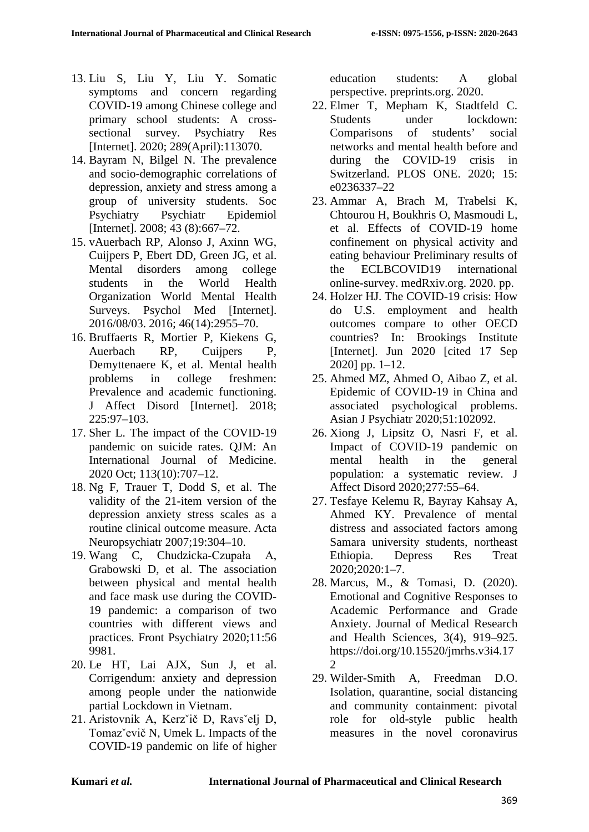- 13. Liu S, Liu Y, Liu Y. Somatic symptoms and concern regarding COVID-19 among Chinese college and primary school students: A crosssectional survey. Psychiatry Res [Internet]. 2020; 289(April):113070.
- 14. Bayram N, Bilgel N. The prevalence and socio-demographic correlations of depression, anxiety and stress among a group of university students. Soc Psychiatry Psychiatr Epidemiol [Internet]. 2008; 43 (8):667-72.
- 15. vAuerbach RP, Alonso J, Axinn WG, Cuijpers P, Ebert DD, Green JG, et al. Mental disorders among college students in the World Health Organization World Mental Health Surveys. Psychol Med [Internet]. 2016/08/03. 2016; 46(14):2955–70.
- 16. Bruffaerts R, Mortier P, Kiekens G, Auerbach RP, Cuijpers P, Demyttenaere K, et al. Mental health problems in college freshmen: Prevalence and academic functioning. J Affect Disord [Internet]. 2018; 225:97–103.
- 17. Sher L. The impact of the COVID-19 pandemic on suicide rates. QJM: An International Journal of Medicine. 2020 Oct; 113(10):707–12.
- 18. Ng F, Trauer T, Dodd S, et al. The validity of the 21-item version of the depression anxiety stress scales as a routine clinical outcome measure. Acta Neuropsychiatr 2007;19:304–10.
- 19. Wang C, Chudzicka-Czupała A, Grabowski D, et al. The association between physical and mental health and face mask use during the COVID-19 pandemic: a comparison of two countries with different views and practices. Front Psychiatry 2020;11:56 9981.
- 20. Le HT, Lai AJX, Sun J, et al. Corrigendum: anxiety and depression among people under the nationwide partial Lockdown in Vietnam.
- 21. Aristovnik A, Kerzˇič D, Ravsˇelj D, Tomazˇevič N, Umek L. Impacts of the COVID-19 pandemic on life of higher

education students: A global perspective. preprints.org. 2020.

- 22. Elmer T, Mepham K, Stadtfeld C. Students under lockdown: Comparisons of students' social networks and mental health before and during the COVID-19 crisis in Switzerland. PLOS ONE. 2020; 15: e0236337–22
- 23. Ammar A, Brach M, Trabelsi K, Chtourou H, Boukhris O, Masmoudi L, et al. Effects of COVID-19 home confinement on physical activity and eating behaviour Preliminary results of the ECLBCOVID19 international online-survey. medRxiv.org. 2020. pp.
- 24. Holzer HJ. The COVID-19 crisis: How do U.S. employment and health outcomes compare to other OECD countries? In: Brookings Institute [Internet]. Jun 2020 [cited 17 Sep 2020] pp. 1–12.
- 25. Ahmed MZ, Ahmed O, Aibao Z, et al. Epidemic of COVID-19 in China and associated psychological problems. Asian J Psychiatr 2020;51:102092.
- 26. Xiong J, Lipsitz O, Nasri F, et al. Impact of COVID-19 pandemic on mental health in the general population: a systematic review. J Affect Disord 2020;277:55–64.
- 27. Tesfaye Kelemu R, Bayray Kahsay A, Ahmed KY. Prevalence of mental distress and associated factors among Samara university students, northeast Ethiopia. Depress Res Treat 2020;2020:1–7.
- 28. Marcus, M., & Tomasi, D. (2020). Emotional and Cognitive Responses to Academic Performance and Grade Anxiety. Journal of Medical Research and Health Sciences, 3(4), 919–925. https://doi.org/10.15520/jmrhs.v3i4.17  $\mathfrak{D}$
- 29. Wilder-Smith A, Freedman D.O. Isolation, quarantine, social distancing and community containment: pivotal role for old-style public health measures in the novel coronavirus